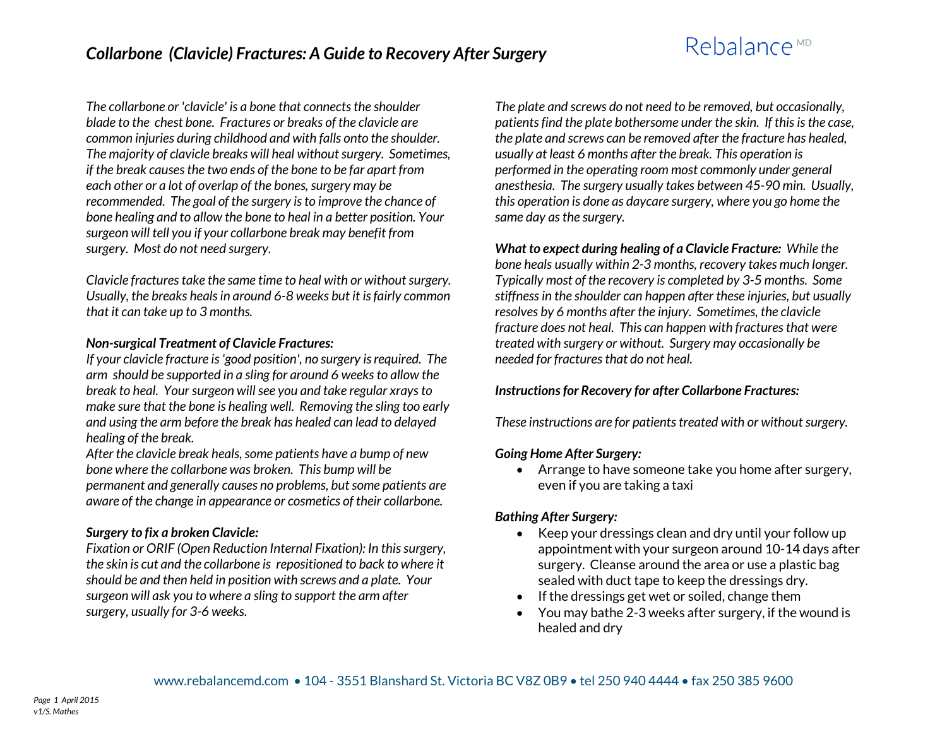*The collarbone or 'clavicle' is a bone that connects the shoulder blade to the chest bone. Fractures or breaks of the clavicle are common injuries during childhood and with falls onto the shoulder. The majority of clavicle breaks will heal without surgery. Sometimes, if the break causes the two ends of the bone to be far apart from each other or a lot of overlap of the bones, surgery may be recommended. The goal of the surgery is to improve the chance of bone healing and to allow the bone to heal in a better position. Your surgeon will tell you if your collarbone break may benefit from surgery. Most do not need surgery.* 

*Clavicle fractures take the same time to heal with or without surgery. Usually, the breaks heals in around 6-8 weeks but it is fairly common that it can take up to 3 months.*

#### *Non-surgical Treatment of Clavicle Fractures:*

*If your clavicle fracture is 'good position', no surgery is required. The arm should be supported in a sling for around 6 weeks to allow the break to heal. Your surgeon will see you and take regular xrays to make sure that the bone is healing well. Removing the sling too early and using the arm before the break has healed can lead to delayed healing of the break.*

*After the clavicle break heals, some patients have a bump of new bone where the collarbone was broken. This bump will be permanent and generally causes no problems, but some patients are aware of the change in appearance or cosmetics of their collarbone.*

#### *Surgery to fix a broken Clavicle:*

*Fixation or ORIF (Open Reduction Internal Fixation): In this surgery, the skin is cut and the collarbone is repositioned to back to where it should be and then held in position with screws and a plate. Your surgeon will ask you to where a sling to support the arm after surgery, usually for 3-6 weeks.* 

*The plate and screws do not need to be removed, but occasionally, patients find the plate bothersome under the skin. If this is the case, the plate and screws can be removed after the fracture has healed, usually at least 6 months after the break. This operation is performed in the operating room most commonly under general anesthesia. The surgery usually takes between 45-90 min. Usually, this operation is done as daycare surgery, where you go home the same day as the surgery.*

*What to expect during healing of a Clavicle Fracture: While the bone heals usually within 2-3 months, recovery takes much longer. Typically most of the recovery is completed by 3-5 months. Some stiffnessin the shoulder can happen after these injuries, but usually resolves by 6 months after the injury. Sometimes, the clavicle fracture does not heal. This can happen with fractures that were treated with surgery or without. Surgery may occasionally be needed for fractures that do not heal.* 

#### *Instructions for Recovery for after Collarbone Fractures:*

*These instructions are for patients treated with or without surgery.*

#### *Going Home After Surgery:*

 Arrange to have someone take you home after surgery, even if you are taking a taxi

## *Bathing After Surgery:*

- Keep your dressings clean and dry until your follow up appointment with your surgeon around 10-14 days after surgery. Cleanse around the area or use a plastic bag sealed with duct tape to keep the dressings dry.
- If the dressings get wet or soiled, change them
- You may bathe 2-3 weeks after surgery, if the wound is healed and dry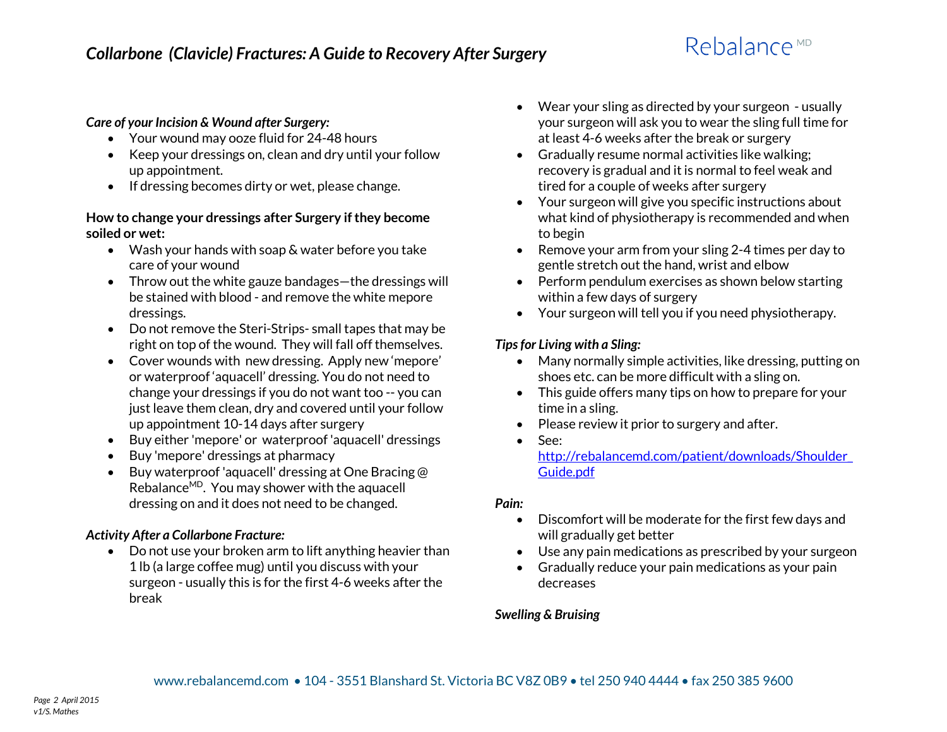### *Care of your Incision & Wound after Surgery:*

- Your wound may ooze fluid for 24-48 hours
- Keep your dressings on, clean and dry until your follow up appointment.
- If dressing becomes dirty or wet, please change.

### **How to change your dressings after Surgery if they become soiled or wet:**

- Wash your hands with soap & water before you take care of your wound
- Throw out the white gauze bandages—the dressings will be stained with blood - and remove the white mepore dressings.
- Do not remove the Steri-Strips- small tapes that may be right on top of the wound. They will fall off themselves.
- Cover wounds with new dressing. Apply new 'mepore' or waterproof 'aquacell' dressing. You do not need to change your dressings if you do not want too -- you can just leave them clean, dry and covered until your follow up appointment 10-14 days after surgery
- Buy either 'mepore' or waterproof 'aquacell' dressings
- Buy 'mepore' dressings at pharmacy
- Buy waterproof 'aquacell' dressing at One Bracing @ Rebalance $MD$ . You may shower with the aquacell dressing on and it does not need to be changed.

## *Activity After a Collarbone Fracture:*

 Do not use your broken arm to lift anything heavier than 1 lb (a large coffee mug) until you discuss with your surgeon - usually this is for the first 4-6 weeks after the break

- Wear your sling as directed by your surgeon usually your surgeon will ask you to wear the sling full time for at least 4-6 weeks after the break or surgery
- Gradually resume normal activities like walking; recovery is gradual and it is normal to feel weak and tired for a couple of weeks after surgery
- Your surgeon will give you specific instructions about what kind of physiotherapy is recommended and when to begin
- Remove your arm from your sling 2-4 times per day to gentle stretch out the hand, wrist and elbow
- Perform pendulum exercises as shown below starting within a few days of surgery
- Your surgeon will tell you if you need physiotherapy.

## *Tips for Living with a Sling:*

- Many normally simple activities, like dressing, putting on shoes etc. can be more difficult with a sling on.
- This guide offers many tips on how to prepare for your time in a sling.
- Please review it prior to surgery and after.
- See: [http://rebalancemd.com/patient/downloads/Shoulder\\_](http://rebalancemd.com/patient/downloads/Shoulder_Guide.pdf) [Guide.pdf](http://rebalancemd.com/patient/downloads/Shoulder_Guide.pdf)

## *Pain:*

- Discomfort will be moderate for the first few days and will gradually get better
- Use any pain medications as prescribed by your surgeon
- Gradually reduce your pain medications as your pain decreases

## *Swelling & Bruising*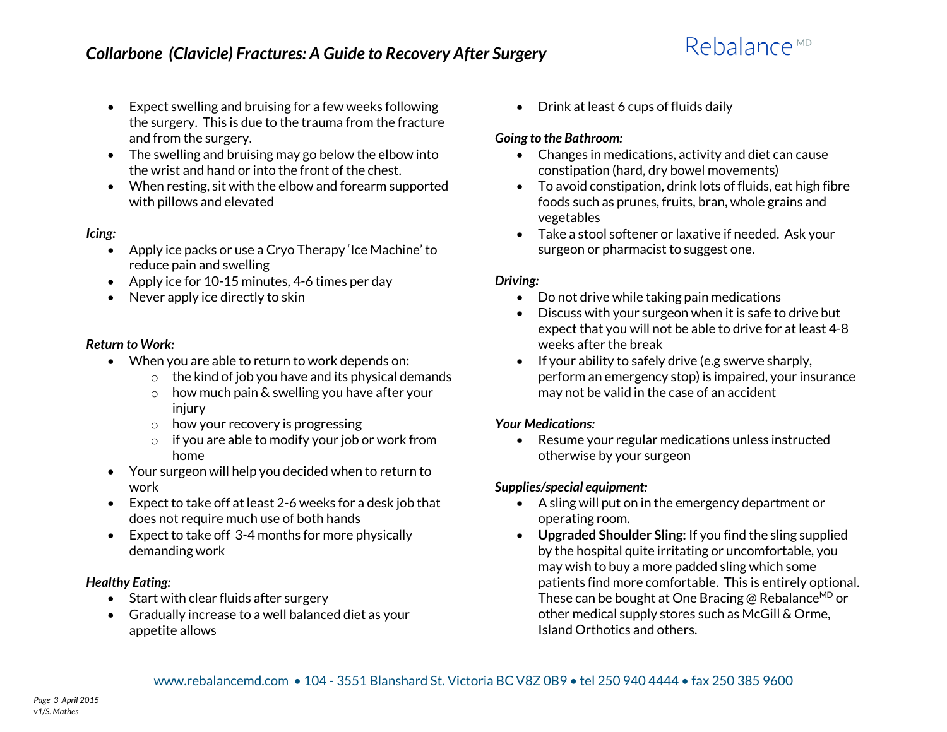- Expect swelling and bruising for a few weeks following the surgery. This is due to the trauma from the fracture and from the surgery.
- The swelling and bruising may go below the elbow into the wrist and hand or into the front of the chest.
- When resting, sit with the elbow and forearm supported with pillows and elevated

### *Icing:*

- Apply ice packs or use a Cryo Therapy 'Ice Machine' to reduce pain and swelling
- Apply ice for 10-15 minutes, 4-6 times per day
- Never apply ice directly to skin

### *Return to Work:*

- When you are able to return to work depends on:
	- $\circ$  the kind of job you have and its physical demands
	- $\circ$  how much pain & swelling you have after your injury
	- $\circ$  how your recovery is progressing
	- o if you are able to modify your job or work from home
- Your surgeon will help you decided when to return to work
- Expect to take off at least 2-6 weeks for a desk job that does not require much use of both hands
- Expect to take off 3-4 months for more physically demanding work

## *Healthy Eating:*

- Start with clear fluids after surgery
- Gradually increase to a well balanced diet as your appetite allows

• Drink at least 6 cups of fluids daily

## *Going to the Bathroom:*

- Changes in medications, activity and diet can cause constipation (hard, dry bowel movements)
- To avoid constipation, drink lots of fluids, eat high fibre foods such as prunes, fruits, bran, whole grains and vegetables
- Take a stool softener or laxative if needed. Ask your surgeon or pharmacist to suggest one.

## *Driving:*

- Do not drive while taking pain medications
- Discuss with your surgeon when it is safe to drive but expect that you will not be able to drive for at least 4-8 weeks after the break
- $\bullet$  If your ability to safely drive (e.g swerve sharply, perform an emergency stop) is impaired, your insurance may not be valid in the case of an accident

## *Your Medications:*

• Resume your regular medications unless instructed otherwise by your surgeon

## *Supplies/special equipment:*

- A sling will put on in the emergency department or operating room.
- **Upgraded Shoulder Sling:** If you find the sling supplied by the hospital quite irritating or uncomfortable, you may wish to buy a more padded sling which some patients find more comfortable. This is entirely optional. These can be bought at One Bracing @ Rebalance<sup>MD</sup> or other medical supply stores such as McGill & Orme, Island Orthotics and others.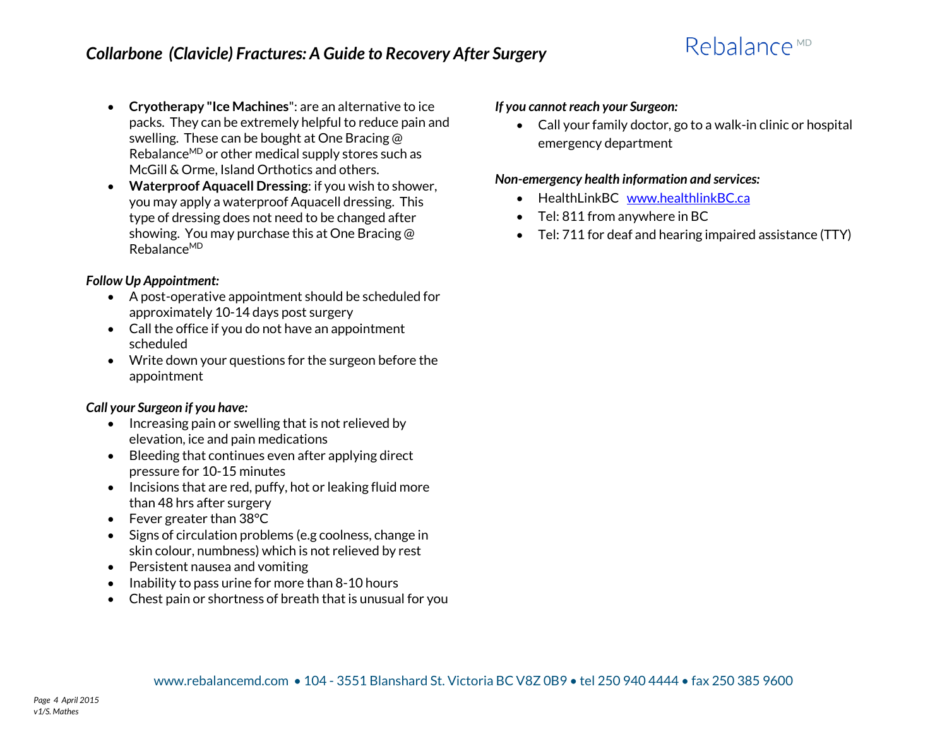- **Cryotherapy "Ice Machines**": are an alternative to ice packs. They can be extremely helpful to reduce pain and swelling. These can be bought at One Bracing @ Rebalance<sup>MD</sup> or other medical supply stores such as McGill & Orme, Island Orthotics and others.
- **Waterproof Aquacell Dressing**: if you wish to shower, you may apply a waterproof Aquacell dressing. This type of dressing does not need to be changed after showing. You may purchase this at One Bracing @ RebalanceMD

## *Follow Up Appointment:*

- A post-operative appointment should be scheduled for approximately 10-14 days post surgery
- Call the office if you do not have an appointment scheduled
- Write down your questions for the surgeon before the appointment

## *Call your Surgeon if you have:*

- $\bullet$  Increasing pain or swelling that is not relieved by elevation, ice and pain medications
- Bleeding that continues even after applying direct pressure for 10-15 minutes
- $\bullet$  Incisions that are red, puffy, hot or leaking fluid more than 48 hrs after surgery
- Fever greater than 38 °C
- Signs of circulation problems (e.g coolness, change in skin colour, numbness) which is not relieved by rest
- Persistent nausea and vomiting
- $\bullet$  Inability to pass urine for more than 8-10 hours
- Chest pain or shortness of breath that is unusual for you

### *If you cannot reach your Surgeon:*

 Call your family doctor, go to a walk-in clinic or hospital emergency department

### *Non-emergency health information and services:*

- HealthLinkBC [www.healthlinkBC.ca](http://www.healthlinkbc.ca/)
- Tel: 811 from anywhere in BC
- Tel: 711 for deaf and hearing impaired assistance (TTY)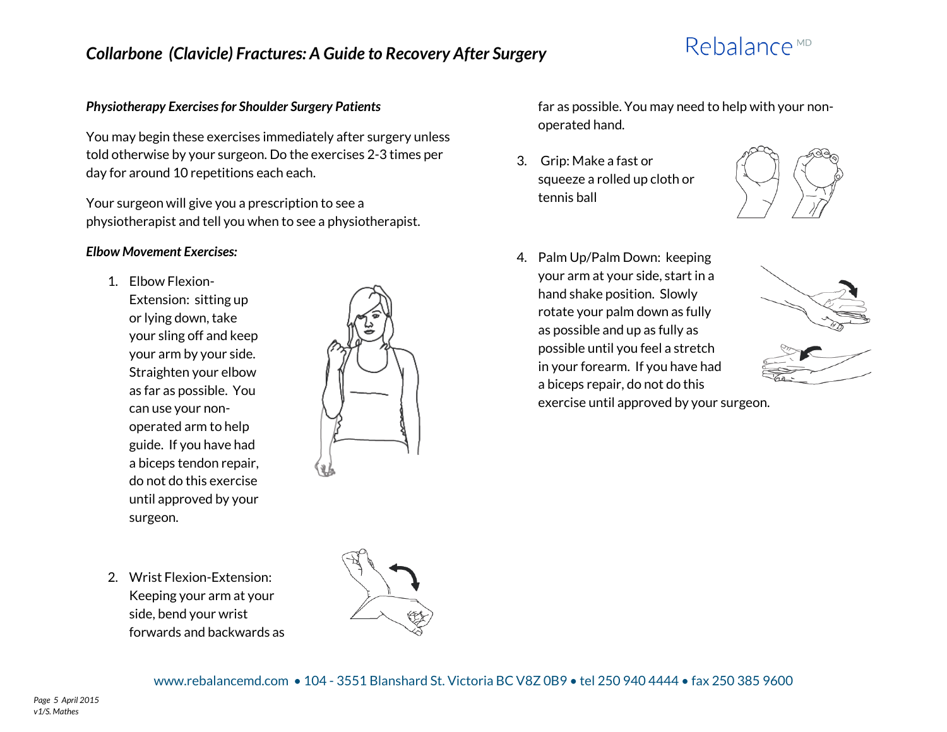## *Collarbone (Clavicle) Fractures: A Guide to Recovery After Surgery*

# Rebalance<sup>MD</sup>

#### *Physiotherapy Exercises for Shoulder Surgery Patients*

You may begin these exercises immediately after surgery unless told otherwise by your surgeon. Do the exercises 2-3 times per day for around 10 repetitions each each.

Your surgeon will give you a prescription to see a physiotherapist and tell you when to see a physiotherapist.

#### *Elbow Movement Exercises:*

- 1. Elbow Flexion-Extension: sitting up
	- or lying down, take your sling off and keep your arm by your side. Straighten your elbow as far as possible. You can use your nonoperated arm to help guide. If you have had a biceps tendon repair, do not do this exercise until approved by your surgeon.



far as possible. You may need to help with your nonoperated hand.

3. Grip: Make a fast or squeeze a rolled up cloth or tennis ball



4. Palm Up/Palm Down: keeping your arm at your side, start in a hand shake position. Slowly rotate your palm down as fully as possible and up as fully as possible until you feel a stretch in your forearm. If you have had a biceps repair, do not do this exercise until approved by your surgeon.





2. Wrist Flexion-Extension: Keeping your arm at your side, bend your wrist forwards and backwards as